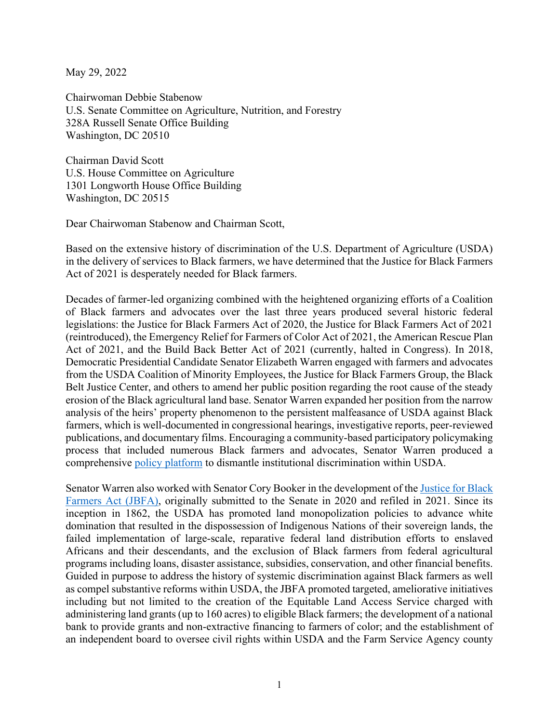May 29, 2022

Chairwoman Debbie Stabenow U.S. Senate Committee on Agriculture, Nutrition, and Forestry 328A Russell Senate Office Building Washington, DC 20510

Chairman David Scott U.S. House Committee on Agriculture 1301 Longworth House Office Building Washington, DC 20515

Dear Chairwoman Stabenow and Chairman Scott,

Based on the extensive history of discrimination of the U.S. Department of Agriculture (USDA) in the delivery of services to Black farmers, we have determined that the Justice for Black Farmers Act of 2021 is desperately needed for Black farmers.

Decades of farmer-led organizing combined with the heightened organizing efforts of a Coalition of Black farmers and advocates over the last three years produced several historic federal legislations: the Justice for Black Farmers Act of 2020, the Justice for Black Farmers Act of 2021 (reintroduced), the Emergency Relief for Farmers of Color Act of 2021, the American Rescue Plan Act of 2021, and the Build Back Better Act of 2021 (currently, halted in Congress). In 2018, Democratic Presidential Candidate Senator Elizabeth Warren engaged with farmers and advocates from the USDA Coalition of Minority Employees, the Justice for Black Farmers Group, the Black Belt Justice Center, and others to amend her public position regarding the root cause of the steady erosion of the Black agricultural land base. Senator Warren expanded her position from the narrow analysis of the heirs' property phenomenon to the persistent malfeasance of USDA against Black farmers, which is well-documented in congressional hearings, investigative reports, peer-reviewed publications, and documentary films. Encouraging a community-based participatory policymaking process that included numerous Black farmers and advocates, Senator Warren produced a comprehensive [policy platform](https://elizabethwarren.com/plans/equity-farmers-of-color) to dismantle institutional discrimination within USDA.

Senator Warren also worked with Senator Cory Booker in the development of the [Justice for Black](https://www.congress.gov/bill/117th-congress/senate-bill/300/text)  [Farmers Act \(JBFA\),](https://www.congress.gov/bill/117th-congress/senate-bill/300/text) originally submitted to the Senate in 2020 and refiled in 2021. Since its inception in 1862, the USDA has promoted land monopolization policies to advance white domination that resulted in the dispossession of Indigenous Nations of their sovereign lands, the failed implementation of large-scale, reparative federal land distribution efforts to enslaved Africans and their descendants, and the exclusion of Black farmers from federal agricultural programs including loans, disaster assistance, subsidies, conservation, and other financial benefits. Guided in purpose to address the history of systemic discrimination against Black farmers as well as compel substantive reforms within USDA, the JBFA promoted targeted, ameliorative initiatives including but not limited to the creation of the Equitable Land Access Service charged with administering land grants (up to 160 acres) to eligible Black farmers; the development of a national bank to provide grants and non-extractive financing to farmers of color; and the establishment of an independent board to oversee civil rights within USDA and the Farm Service Agency county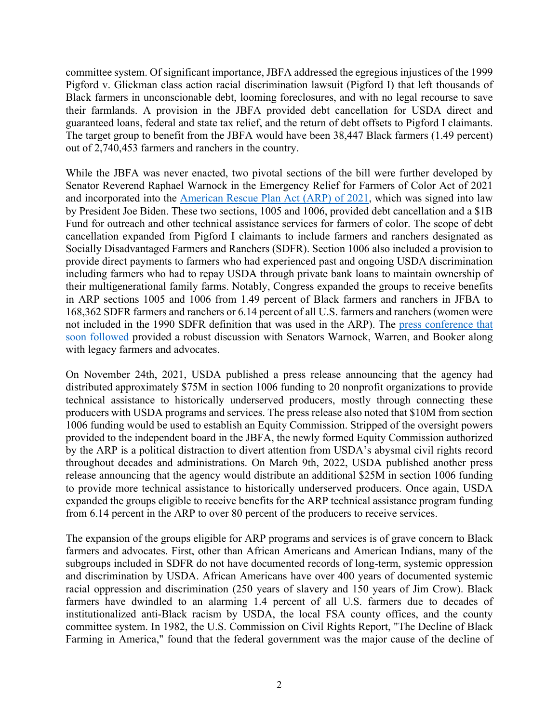committee system. Of significant importance, JBFA addressed the egregious injustices of the 1999 Pigford v. Glickman class action racial discrimination lawsuit (Pigford I) that left thousands of Black farmers in unconscionable debt, looming foreclosures, and with no legal recourse to save their farmlands. A provision in the JBFA provided debt cancellation for USDA direct and guaranteed loans, federal and state tax relief, and the return of debt offsets to Pigford I claimants. The target group to benefit from the JBFA would have been 38,447 Black farmers (1.49 percent) out of 2,740,453 farmers and ranchers in the country.

While the JBFA was never enacted, two pivotal sections of the bill were further developed by Senator Reverend Raphael Warnock in the Emergency Relief for Farmers of Color Act of 2021 and incorporated into the [American Rescue Plan Act \(ARP\) of 2021,](https://www.congress.gov/bill/117th-congress/house-bill/1319/text) which was signed into law by President Joe Biden. These two sections, 1005 and 1006, provided debt cancellation and a \$1B Fund for outreach and other technical assistance services for farmers of color. The scope of debt cancellation expanded from Pigford I claimants to include farmers and ranchers designated as Socially Disadvantaged Farmers and Ranchers (SDFR). Section 1006 also included a provision to provide direct payments to farmers who had experienced past and ongoing USDA discrimination including farmers who had to repay USDA through private bank loans to maintain ownership of their multigenerational family farms. Notably, Congress expanded the groups to receive benefits in ARP sections 1005 and 1006 from 1.49 percent of Black farmers and ranchers in JFBA to 168,362 SDFR farmers and ranchers or 6.14 percent of all U.S. farmers and ranchers (women were not included in the 1990 SDFR definition that was used in the ARP). The [press conference that](https://www.youtube.com/watch?v=B0N9i4ZPwbE)  [soon followed](https://www.youtube.com/watch?v=B0N9i4ZPwbE) provided a robust discussion with Senators Warnock, Warren, and Booker along with legacy farmers and advocates.

On November 24th, 2021, USDA published a press release announcing that the agency had distributed approximately \$75M in section 1006 funding to 20 nonprofit organizations to provide technical assistance to historically underserved producers, mostly through connecting these producers with USDA programs and services. The press release also noted that \$10M from section 1006 funding would be used to establish an Equity Commission. Stripped of the oversight powers provided to the independent board in the JBFA, the newly formed Equity Commission authorized by the ARP is a political distraction to divert attention from USDA's abysmal civil rights record throughout decades and administrations. On March 9th, 2022, USDA published another press release announcing that the agency would distribute an additional \$25M in section 1006 funding to provide more technical assistance to historically underserved producers. Once again, USDA expanded the groups eligible to receive benefits for the ARP technical assistance program funding from 6.14 percent in the ARP to over 80 percent of the producers to receive services.

The expansion of the groups eligible for ARP programs and services is of grave concern to Black farmers and advocates. First, other than African Americans and American Indians, many of the subgroups included in SDFR do not have documented records of long-term, systemic oppression and discrimination by USDA. African Americans have over 400 years of documented systemic racial oppression and discrimination (250 years of slavery and 150 years of Jim Crow). Black farmers have dwindled to an alarming 1.4 percent of all U.S. farmers due to decades of institutionalized anti-Black racism by USDA, the local FSA county offices, and the county committee system. In 1982, the U.S. Commission on Civil Rights Report, "The Decline of Black Farming in America," found that the federal government was the major cause of the decline of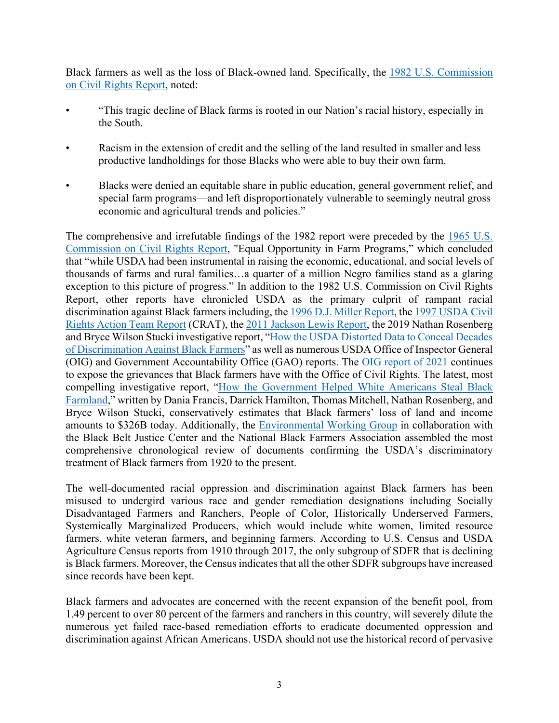Black farmers as well as the loss of Black-owned land. Specifically, the 1982 U.S. [Commission](https://files.eric.ed.gov/fulltext/ED222604.pdf)  [on Civil Rights Report,](https://files.eric.ed.gov/fulltext/ED222604.pdf) noted:

- "This tragic decline of Black farms is rooted in our Nation's racial history, especially in the South.
- Racism in the extension of credit and the selling of the land resulted in smaller and less productive landholdings for those Blacks who were able to buy their own farm.
- Blacks were denied an equitable share in public education, general government relief, and special farm programs—and left disproportionately vulnerable to seemingly neutral gross economic and agricultural trends and policies."

The comprehensive and irrefutable findings of the 1982 report were preceded by the [1965 U.S.](https://www.ewg.org/sites/default/files/2022-03/1965_USCCR-Report.pdf)  Commission [on Civil Rights Report,](https://www.ewg.org/sites/default/files/2022-03/1965_USCCR-Report.pdf) "Equal Opportunity in Farm Programs," which concluded that "while USDA had been instrumental in raising the economic, educational, and social levels of thousands of farms and rural families…a quarter of a million Negro families stand as a glaring exception to this picture of progress." In addition to the 1982 U.S. Commission on Civil Rights Report, other reports have chronicled USDA as the primary culprit of rampant racial discrimination against Black farmers including, the [1996 D.J. Miller Report,](https://acresofancestry.org/wp-content/uploads/2021/01/DJ-Miller-Report.pdf) the [1997 USDA Civil](https://acresofancestry.org/wp-content/uploads/2021/01/CRAT-Report-.pdf)  [Rights Action Team Report](https://acresofancestry.org/wp-content/uploads/2021/01/CRAT-Report-.pdf) (CRAT), th[e 2011 Jackson Lewis Report,](https://www.coalition4change.org/USDA%20jackson.pdf) the 2019 Nathan Rosenberg and Bryce Wilson Stucki investigative report, ["How the USDA Distorted Data to Conceal Decades](https://thecounter.org/usda-black-farmers-discrimination-tom-vilsack-reparations-civil-rights/)  [of Discrimination Against Black Farmers"](https://thecounter.org/usda-black-farmers-discrimination-tom-vilsack-reparations-civil-rights/) as well as numerous USDA Office of Inspector General (OIG) and Government Accountability Office (GAO) reports. The [OIG report](https://www.oversight.gov/sites/default/files/oig-reports/USDAOIG/60601-0001-21FR508FOIAredactedpublic930-signed.pdf) of 2021 continues to expose the grievances that Black farmers have with the Office of Civil Rights. The latest, most compelling investigative report, ["How the Government Helped White Americans Steal Black](https://newrepublic.com/article/166276/black-farm-land-lost-20th-century-billions)  [Farmland,](https://newrepublic.com/article/166276/black-farm-land-lost-20th-century-billions)" written by Dania Francis, Darrick Hamilton, Thomas Mitchell, Nathan Rosenberg, and Bryce Wilson Stucki, conservatively estimates that Black farmers' loss of land and income amounts to \$326B today. Additionally, the [Environmental Working Group](https://www.ewg.org/research/timeline-black-farmers-and-usda-1920-present) in collaboration with the Black Belt Justice Center and the National Black Farmers Association assembled the most comprehensive chronological review of documents confirming the USDA's discriminatory treatment of Black farmers from 1920 to the present.

The well-documented racial oppression and discrimination against Black farmers has been misused to undergird various race and gender remediation designations including Socially Disadvantaged Farmers and Ranchers, People of Color, Historically Underserved Farmers, Systemically Marginalized Producers, which would include white women, limited resource farmers, white veteran farmers, and beginning farmers. According to U.S. Census and USDA Agriculture Census reports from 1910 through 2017, the only subgroup of SDFR that is declining is Black farmers. Moreover, the Census indicates that all the other SDFR subgroups have increased since records have been kept.

Black farmers and advocates are concerned with the recent expansion of the benefit pool, from 1.49 percent to over 80 percent of the farmers and ranchers in this country, will severely dilute the numerous yet failed race-based remediation efforts to eradicate documented oppression and discrimination against African Americans. USDA should not use the historical record of pervasive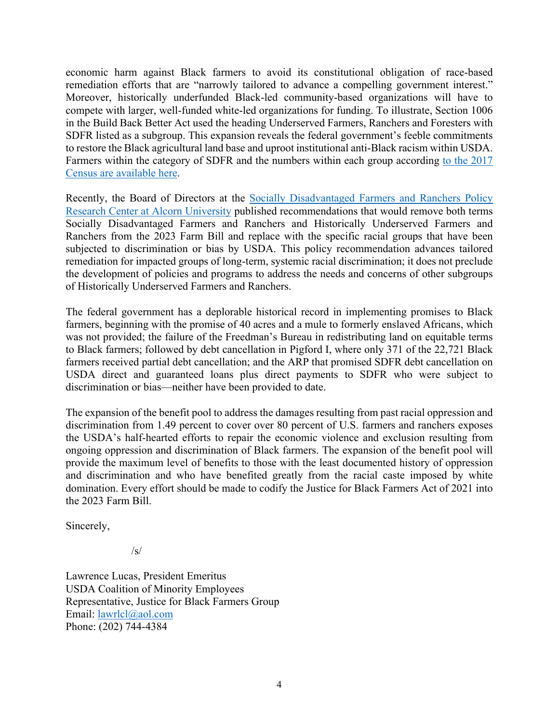economic harm against Black farmers to avoid its constitutional obligation of race-based remediation efforts that are "narrowly tailored to advance a compelling government interest." Moreover, historically underfunded Black-led community-based organizations will have to compete with larger, well-funded white-led organizations for funding. To illustrate, Section 1006 in the Build Back Better Act used the heading Underserved Farmers, Ranchers and Foresters with SDFR listed as a subgroup. This expansion reveals the federal government's feeble commitments to restore the Black agricultural land base and uproot institutional anti-Black racism within USDA. Farmers within the category of SDFR and the numbers within each group according [to the 2017](https://acresofancestry.org/wp-content/uploads/2022/05/Historically-Underserved-Farmers-and-Ranchers-Definition.pdf)  [Census are available](https://acresofancestry.org/wp-content/uploads/2022/05/Historically-Underserved-Farmers-and-Ranchers-Definition.pdf) here.

Recently, the Board of Directors at the [Socially Disadvantaged Farmers and Ranchers Policy](https://www.alcorn.edu/discover-alcorn/sdfrpolicyresearchcenter/resources/what-is-a-socially-disadvantaged-farmer-or-rancher)  [Research Center at Alcorn University](https://www.alcorn.edu/discover-alcorn/sdfrpolicyresearchcenter/resources/what-is-a-socially-disadvantaged-farmer-or-rancher) published recommendations that would remove both terms Socially Disadvantaged Farmers and Ranchers and Historically Underserved Farmers and Ranchers from the 2023 Farm Bill and replace with the specific racial groups that have been subjected to discrimination or bias by USDA. This policy recommendation advances tailored remediation for impacted groups of long-term, systemic racial discrimination; it does not preclude the development of policies and programs to address the needs and concerns of other subgroups of Historically Underserved Farmers and Ranchers.

The federal government has a deplorable historical record in implementing promises to Black farmers, beginning with the promise of 40 acres and a mule to formerly enslaved Africans, which was not provided; the failure of the Freedman's Bureau in redistributing land on equitable terms to Black farmers; followed by debt cancellation in Pigford I, where only 371 of the 22,721 Black farmers received partial debt cancellation; and the ARP that promised SDFR debt cancellation on USDA direct and guaranteed loans plus direct payments to SDFR who were subject to discrimination or bias—neither have been provided to date.

The expansion of the benefit pool to address the damages resulting from past racial oppression and discrimination from 1.49 percent to cover over 80 percent of U.S. farmers and ranchers exposes the USDA's half-hearted efforts to repair the economic violence and exclusion resulting from ongoing oppression and discrimination of Black farmers. The expansion of the benefit pool will provide the maximum level of benefits to those with the least documented history of oppression and discrimination and who have benefited greatly from the racial caste imposed by white domination. Every effort should be made to codify the Justice for Black Farmers Act of 2021 into the 2023 Farm Bill.

Sincerely,

/s/

Lawrence Lucas, President Emeritus USDA Coalition of Minority Employees Representative, Justice for Black Farmers Group Email: [lawrlcl@aol.com](mailto:lawrlcl@aol.com)  Phone: (202) 744-4384